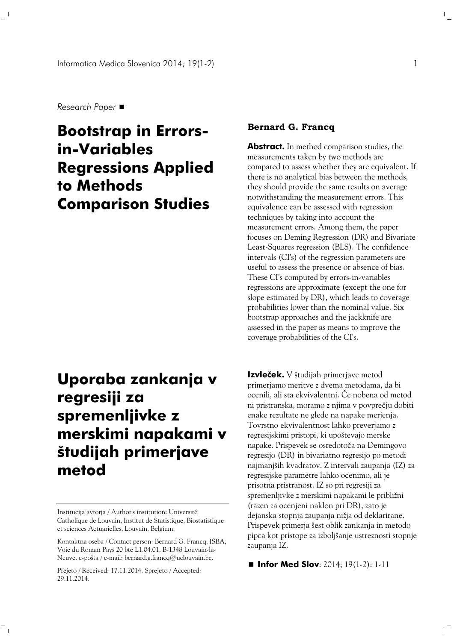*Research Paper*

# **Bootstrap in Errorsin-Variables Regressions Applied to Methods Comparison Studies**

# **Uporaba zankanja v regresiji za spremenljivke z merskimi napakami v študijah primerjave metod**

Institucija avtorja / Author's institution: Université Catholique de Louvain, Institut de Statistique, Biostatistique et sciences Actuarielles, Louvain, Belgium.

Prejeto / Received: 17.11.2014. Sprejeto / Accepted: 29.11.2014.

 $\equiv_1$ 

### **Bernard G. Francq**

**Abstract.** In method comparison studies, the measurements taken by two methods are compared to assess whether they are equivalent. If there is no analytical bias between the methods, they should provide the same results on average notwithstanding the measurement errors. This equivalence can be assessed with regression techniques by taking into account the measurement errors. Among them, the paper focuses on Deming Regression (DR) and Bivariate Least-Squares regression (BLS). The confidence intervals (CI's) of the regression parameters are useful to assess the presence or absence of bias. These CI's computed by errors-in-variables regressions are approximate (except the one for slope estimated by DR), which leads to coverage probabilities lower than the nominal value. Six bootstrap approaches and the jackknife are assessed in the paper as means to improve the coverage probabilities of the CI's.

**Izvleček.** V študijah primerjave metod primerjamo meritve z dvema metodama, da bi ocenili, ali sta ekvivalentni. Če nobena od metod ni pristranska, moramo z njima v povprečju dobiti enake rezultate ne glede na napake merjenja. Tovrstno ekvivalentnost lahko preverjamo z regresijskimi pristopi, ki upoštevajo merske napake. Prispevek se osredotoča na Demingovo regresijo (DR) in bivariatno regresijo po metodi najmanjših kvadratov. Z intervali zaupanja (IZ) za regresijske parametre lahko ocenimo, ali je prisotna pristranost. IZ so pri regresiji za spremenljivke z merskimi napakami le približni (razen za ocenjeni naklon pri DR), zato je dejanska stopnja zaupanja nižja od deklarirane. Prispevek primerja šest oblik zankanja in metodo pipca kot pristope za izboljšanje ustreznosti stopnje zaupanja IZ.

■ **Infor Med Slov**: 2014; 19(1-2): 1-11

 $\Gamma_{\rm c}$ 

Kontaktna oseba / Contact person: Bernard G. Francq, ISBA, Voie du Roman Pays 20 bte L1.04.01, B-1348 Louvain-la-Neuve. e-pošta / e-mail: bernard.g.francq@uclouvain.be.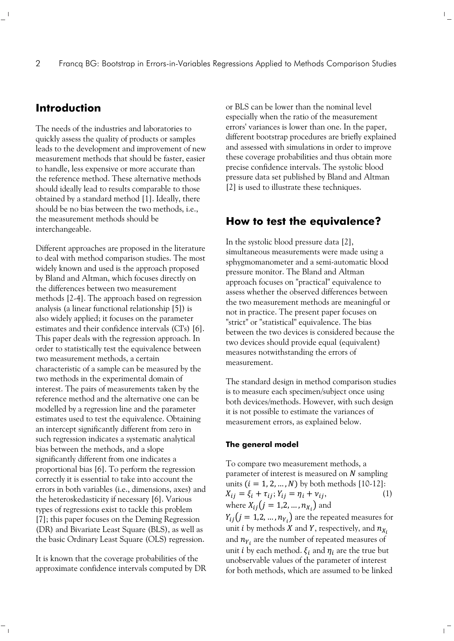# **Introduction**

The needs of the industries and laboratories to quickly assess the quality of products or samples leads to the development and improvement of new measurement methods that should be faster, easier to handle, less expensive or more accurate than the reference method. These alternative methods should ideally lead to results comparable to those obtained by a standard method [1]. Ideally, there should be no bias between the two methods, i.e., the measurement methods should be interchangeable.

Different approaches are proposed in the literature to deal with method comparison studies. The most widely known and used is the approach proposed by Bland and Altman, which focuses directly on the differences between two measurement methods [2-4]. The approach based on regression analysis (a linear functional relationship [5]) is also widely applied; it focuses on the parameter estimates and their confidence intervals (CI's) [6]. This paper deals with the regression approach. In order to statistically test the equivalence between two measurement methods, a certain characteristic of a sample can be measured by the two methods in the experimental domain of interest. The pairs of measurements taken by the reference method and the alternative one can be modelled by a regression line and the parameter estimates used to test the equivalence. Obtaining an intercept significantly different from zero in such regression indicates a systematic analytical bias between the methods, and a slope significantly different from one indicates a proportional bias [6]. To perform the regression correctly it is essential to take into account the errors in both variables (i.e., dimensions, axes) and the heteroskedasticity if necessary [6]. Various types of regressions exist to tackle this problem [7]; this paper focuses on the Deming Regression (DR) and Bivariate Least Square (BLS), as well as the basic Ordinary Least Square (OLS) regression.

It is known that the coverage probabilities of the approximate confidence intervals computed by DR

 $\top_1$ 

or BLS can be lower than the nominal level especially when the ratio of the measurement errors' variances is lower than one. In the paper, different bootstrap procedures are briefly explained and assessed with simulations in order to improve these coverage probabilities and thus obtain more precise confidence intervals. The systolic blood pressure data set published by Bland and Altman [2] is used to illustrate these techniques.

 $\mathbb{R}^n$ 

 $\overline{1}$ 

# **How to test the equivalence?**

In the systolic blood pressure data [2], simultaneous measurements were made using a sphygmomanometer and a semi-automatic blood pressure monitor. The Bland and Altman approach focuses on "practical" equivalence to assess whether the observed differences between the two measurement methods are meaningful or not in practice. The present paper focuses on "strict" or "statistical" equivalence. The bias between the two devices is considered because the two devices should provide equal (equivalent) measures notwithstanding the errors of measurement.

The standard design in method comparison studies is to measure each specimen/subject once using both devices/methods. However, with such design it is not possible to estimate the variances of measurement errors, as explained below.

#### **The general model**

To compare two measurement methods, a parameter of interest is measured on  *sampling* units  $(i = 1, 2, ..., N)$  by both methods [10-12]:  $X_{ij} = \xi_i + \tau_{ij}; Y_{ij} = \eta_i + \nu_{ij},$  (1) where  $X_{ij} (j = 1,2,...,n_{X_i})$  and  $Y_{ij}(j = 1,2,...,n_{Y_i})$  are the repeated measures for unit *i* by methods *X* and *Y*, respectively, and  $n_{X_i}$ and  $n_{Y_i}$  are the number of repeated measures of unit *i* by each method.  $\xi_i$  and  $\eta_i$  are the true but unobservable values of the parameter of interest for both methods, which are assumed to be linked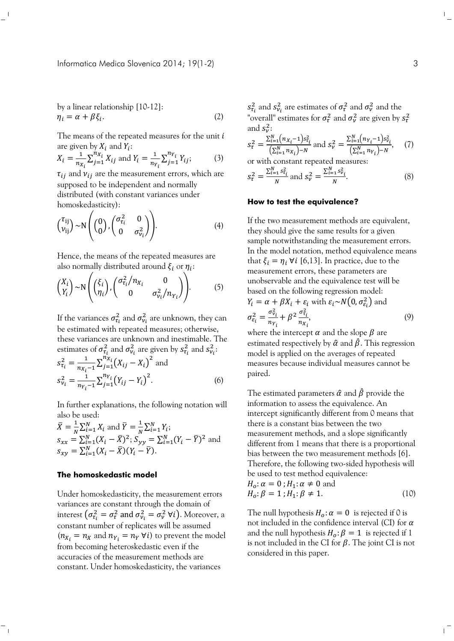Informatica Medica Slovenica 2014; 19(1-2) 3

by a linear relationship [10-12]:  
\n
$$
\eta_i = \alpha + \beta \xi_i.
$$
\n(2)

The means of the repeated measures for the unit  $i$ are given by  $X_i$  and  $Y_i$ :

$$
X_i = \frac{1}{n_{X_i}} \sum_{j=1}^{n_{X_i}} X_{ij} \text{ and } Y_i = \frac{1}{n_{Y_i}} \sum_{j=1}^{n_{Y_i}} Y_{ij};
$$
 (3)

 $\tau_{ij}$  and  $v_{ij}$  are the measurement errors, which are supposed to be independent and normally distributed (with constant variances under homoskedasticity):

$$
\begin{pmatrix} \tau_{ij} \\ \nu_{ij} \end{pmatrix} \sim N \begin{pmatrix} 0 \\ 0 \end{pmatrix}, \begin{pmatrix} \sigma_{\tau_i}^2 & 0 \\ 0 & \sigma_{\nu_i}^2 \end{pmatrix} . \tag{4}
$$

Hence, the means of the repeated measures are also normally distributed around  $\xi_i$  or  $\eta_i$ :

$$
\begin{pmatrix} X_i \\ Y_i \end{pmatrix} \sim N \begin{pmatrix} \xi_i \\ \eta_i \end{pmatrix}, \begin{pmatrix} \sigma_{\tau_i}^2 / n_{X_i} & 0 \\ 0 & \sigma_{\nu_i}^2 / n_{Y_i} \end{pmatrix} . \tag{5}
$$

If the variances  $\sigma_{\tau_i}^2$  and  $\sigma_{\nu_i}^2$  are unknown, they can be estimated with repeated measures; otherwise, these variances are unknown and inestimable. The estimates of  $\sigma_{\tau_i}^2$  and  $\sigma_{\nu_i}^2$  are given by  $s_{\tau_i}^2$  and  $s_{\nu_i}^2$ :

$$
s_{\tau_i}^2 = \frac{1}{n_{X_i} - 1} \sum_{j=1}^{n_{X_i}} (X_{ij} - X_i)^2
$$
 and  

$$
s_{\nu_i}^2 = \frac{1}{n_{Y_i} - 1} \sum_{j=1}^{n_{Y_i}} (Y_{ij} - Y_i)^2.
$$
 (6)

In further explanations, the following notation will also be used:

$$
\bar{X} = \frac{1}{N} \sum_{i=1}^{N} X_i \text{ and } \bar{Y} = \frac{1}{N} \sum_{i=1}^{N} Y_i;
$$
  
\n
$$
s_{xx} = \sum_{i=1}^{N} (X_i - \bar{X})^2; S_{yy} = \sum_{i=1}^{N} (Y_i - \bar{Y})^2 \text{ and }
$$
  
\n
$$
s_{xy} = \sum_{i=1}^{N} (X_i - \bar{X})(Y_i - \bar{Y}).
$$

### **The homoskedastic model**

 $\mathbb{Z}_1$ 

Under homoskedasticity, the measurement errors variances are constant through the domain of interest  $(\sigma_{\tau_i}^2 = \sigma_{\tau}^2 \text{ and } \sigma_{\nu_i}^2 = \sigma_{\nu}^2 \text{ } \forall i$ ). Moreover, a constant number of replicates will be assumed  $(n_{X_i} = n_X \text{ and } n_{Y_i} = n_Y \forall i)$  to prevent the model from becoming heteroskedastic even if the accuracies of the measurement methods are constant. Under homoskedasticity, the variances

 $s_{\tau_i}^2$  and  $s_{\nu_i}^2$  are estimates of  $\sigma_{\tau}^2$  and  $\sigma_{\nu}^2$  and the "overall" estimates for  $\sigma_{\tau}^2$  and  $\sigma_{\nu}^2$  are given by  $s_{\tau}^2$ and  $s_v^2$ :

$$
s_{\tau}^{2} = \frac{\sum_{i=1}^{N} (n_{X_{i}} - 1)s_{\tau_{i}}^{2}}{\left(\sum_{i=1}^{N} n_{X_{i}}\right) - N} \text{ and } s_{\nu}^{2} = \frac{\sum_{i=1}^{N} (n_{Y_{i}} - 1)s_{\nu_{i}}^{2}}{\left(\sum_{i=1}^{N} n_{Y_{i}}\right) - N}, \quad (7)
$$

$$
\sum_{i=1}^{N} \sum_{i=1}^{N} s_{ti}^2
$$

$$
s_{\tau}^{2} = \frac{\sum_{i=1}^{N} s_{t_{i}}^{2}}{N} \text{ and } s_{\nu}^{2} = \frac{\sum_{i=1}^{N} s_{\nu_{i}}^{2}}{N}.
$$
 (8)

### **How to test the equivalence?**

If the two measurement methods are equivalent, they should give the same results for a given sample notwithstanding the measurement errors. In the model notation, method equivalence means that  $\xi_i = \eta_i \,\forall i$  [6,13]. In practice, due to the measurement errors, these parameters are unobservable and the equivalence test will be based on the following regression model:  $Y_i = \alpha + \beta X_i + \varepsilon_i$  with  $\varepsilon_i \sim N(0, \sigma_{\varepsilon_i}^2)$  and  $\sigma_{\varepsilon_i}^2 = \frac{\sigma_{\nu_i}^2}{n_v}$  $n_{Y_i}$  $+\beta^2\frac{\sigma_{t_i}^2}{\sigma_{t_i}}$  $n_{X_i}$ , (9)

where the intercept  $\alpha$  and the slope  $\beta$  are estimated respectively by  $\hat{\alpha}$  and  $\hat{\beta}$ . This regression model is applied on the averages of repeated measures because individual measures cannot be paired.

The estimated parameters  $\hat{\alpha}$  and  $\hat{\beta}$  provide the information to assess the equivalence. An intercept significantly different from 0 means that there is a constant bias between the two measurement methods, and a slope significantly different from 1 means that there is a proportional bias between the two measurement methods [6]. Therefore, the following two-sided hypothesis will be used to test method equivalence:

$$
H_o: \alpha = 0; H_1: \alpha \neq 0 \text{ and}
$$
  
\n
$$
H_o: \beta = 1; H_1: \beta \neq 1.
$$
 (10)

The null hypothesis  $H_o: \alpha = 0$  is rejected if 0 is not included in the confidence interval (CI) for  $\alpha$ and the null hypothesis  $H_o: \beta = 1$  is rejected if 1 is not included in the CI for  $\beta$ . The joint CI is not considered in this paper.

 $\mathbf{I}_{\mathbf{r}}$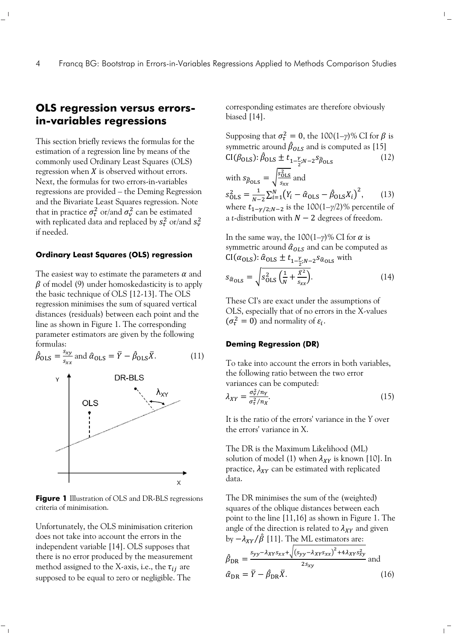# **OLS regression versus errorsin-variables regressions**

This section briefly reviews the formulas for the estimation of a regression line by means of the commonly used Ordinary Least Squares (OLS) regression when  $X$  is observed without errors. Next, the formulas for two errors-in-variables regressions are provided – the Deming Regression and the Bivariate Least Squares regression. Note that in practice  $\sigma_{\tau}^2$  or/and  $\sigma_{\nu}^2$  can be estimated with replicated data and replaced by  $s^2_t$  or/and  $s^2_\nu$ if needed.

# **Ordinary Least Squares (OLS) regression**

The easiest way to estimate the parameters  $\alpha$  and  $\beta$  of model (9) under homoskedasticity is to apply the basic technique of OLS [12-13]. The OLS regression minimises the sum of squared vertical distances (residuals) between each point and the line as shown in Figure 1. The corresponding parameter estimators are given by the following formulas:



**Figure 1** Illustration of OLS and DR-BLS regressions criteria of minimisation.

Unfortunately, the OLS minimisation criterion does not take into account the errors in the independent variable [14]. OLS supposes that there is no error produced by the measurement method assigned to the X-axis, i.e., the  $\tau_{ij}$  are supposed to be equal to zero or negligible. The

 $\top_1$ 

corresponding estimates are therefore obviously biased [14].

 $\mathbb{L}$ 

 $\mathbf{L}$ 

Supposing that 
$$
\sigma_{\tau}^2 = 0
$$
, the 100(1– $\gamma$ )% CI for  $\beta$  is  
symmetric around  $\hat{\beta}_{OLS}$  and is computed as [15]  
CI( $\beta_{OLS}$ ):  $\hat{\beta}_{OLS} \pm t_{1-\frac{\gamma}{2}, N-2} s_{\beta_{OLS}}$  (12)  
with  $s_{\hat{\beta}_{OLS}} = \sqrt{\frac{s_{OLS}^2}{s_{xx}}}$  and  
 $s_{OLS}^2 = \frac{1}{N-2} \sum_{i=1}^N (Y_i - \hat{\alpha}_{OLS} - \hat{\beta}_{OLS} X_i)^2$ , (13)  
where  $t_{1-\gamma/2; N-2}$  is the 100(1– $\gamma$ /2)% percentile of  
a *t*-distribution with  $N - 2$  degrees of freedom.

In the same way, the  $100(1-\gamma)\%$  CI for  $\alpha$  is symmetric around  $\hat{\alpha}_{OLS}$  and can be computed as  $\text{CI}(\alpha_{\text{OLS}}) \colon \hat{\alpha}_{\text{OLS}} \pm t_{1-\frac{\gamma}{2};N-2} s_{\hat{\alpha}_{\text{OLS}}}$  with

$$
s_{\hat{\alpha}_{OLS}} = \sqrt{s_{OLS}^2 \left(\frac{1}{N} + \frac{\bar{X}^2}{s_{xx}}\right)}.
$$
 (14)

These CI's are exact under the assumptions of OLS, especially that of no errors in the X-values  $(\sigma_{\tau}^2 = 0)$  and normality of  $\varepsilon_i$ .

### **Deming Regression (DR)**

To take into account the errors in both variables, the following ratio between the two error variances can be computed:

$$
\lambda_{XY} = \frac{\sigma_v^2 / n_Y}{\sigma_\tau^2 / n_X}.\tag{15}
$$

It is the ratio of the errors' variance in the *Y* over the errors' variance in X.

The DR is the Maximum Likelihood (ML) solution of model (1) when  $\lambda_{XY}$  is known [10]. In practice,  $\lambda_{XY}$  can be estimated with replicated data.

The DR minimises the sum of the (weighted) squares of the oblique distances between each point to the line [11,16] as shown in Figure 1. The angle of the direction is related to  $\lambda_{XY}$  and given by  $-\lambda_{XY}/\hat{\beta}$  [11]. The ML estimators are:

$$
\hat{\beta}_{\rm DR} = \frac{s_{yy} - \lambda_{XY}s_{xx} + \sqrt{(s_{yy} - \lambda_{XY}s_{xx})^2 + 4\lambda_{XY}s_{xy}^2}}{2s_{xy}} \text{ and}
$$
\n
$$
\hat{\alpha}_{\rm DR} = \overline{Y} - \hat{\beta}_{\rm DR}\overline{X}.
$$
\n(16)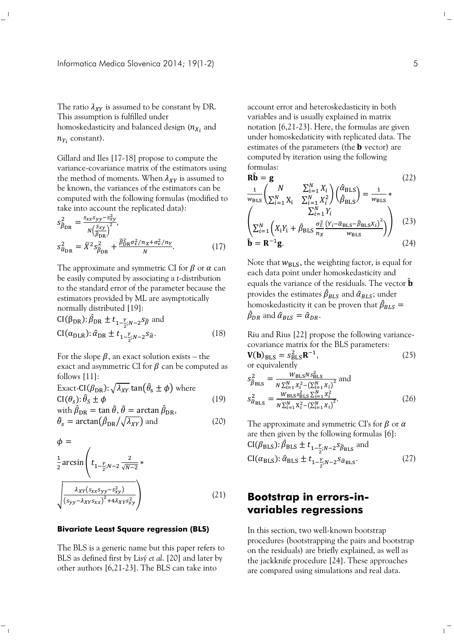The ratio  $\lambda_{XY}$  is assumed to be constant by DR. This assumption is fulfilled under homoskedasticity and balanced design  $(n_{X_{\hat t}}% )$  and  $n_{Y_i}$  constant).

Gillard and Iles [17-18] propose to compute the variance-covariance matrix of the estimators using the method of moments. When  $\lambda_{XY}$  is assumed to be known, the variances of the estimators can be computed with the following formulas (modified to take into account the replicated data):

$$
s_{\hat{\beta}_{\rm DR}}^2 = \frac{s_{xx}s_{yy}-s_{xy}^2}{N\left(\frac{S_{xy}}{\hat{\beta}_{\rm DR}}\right)^2},
$$
  
\n
$$
s_{\hat{\alpha}_{\rm DR}}^2 = \overline{X}^2 s_{\hat{\beta}_{\rm DR}}^2 + \frac{\hat{\beta}_{\rm DR}^2 \sigma_{\tau}^2 / n_x + \sigma_{\nu}^2 / n_y}{N}.
$$
\n(17)

The approximate and symmetric CI for  $\beta$  or  $\alpha$  can be easily computed by associating a *t*-distribution to the standard error of the parameter because the estimators provided by ML are asymptotically normally distributed [19]:

$$
CI(\beta_{\text{DR}}): \hat{\beta}_{\text{DR}} \pm t_{1-\frac{\gamma}{2};N-2} s_{\hat{\beta}} \text{ and}
$$
  
\n
$$
CI(\alpha_{\text{DLR}}): \hat{\alpha}_{\text{DR}} \pm t_{1-\frac{\gamma}{2};N-2} s_{\hat{\alpha}}.
$$
\n(18)

For the slope  $\beta$ , an exact solution exists – the exact and asymmetric CI for  $\beta$  can be computed as follows [11]:

Exact-CI(
$$
\beta_{DR}
$$
):  $\sqrt{\lambda_{XY}} \tan(\hat{\theta}_{s} \pm \phi)$  where  
CI( $\theta_s$ ):  $\hat{\theta}_S \pm \phi$  (19)  
with  $\hat{\beta}_{DR} = \tan \hat{\theta}, \hat{\theta} = \arctan \hat{\beta}_{DR}$ ,

$$
\hat{\theta}_s = \arctan(\hat{\beta}_{\text{DR}}/\sqrt{\lambda_{XY}}) \text{ and } \qquad (20)
$$

$$
\phi = \frac{1}{2} \arcsin\left(t_{1-\frac{y}{2},N-2} \frac{2}{\sqrt{N-2}} * \sqrt{\frac{\lambda_{XY}(s_{xx}s_{yy}-s_{xy}^2)}{(s_{yy}-\lambda_{XY}s_{xx})^2 + 4\lambda_{XY}s_{xy}^2}}\right)
$$
\n(21)

#### **Bivariate Least Square regression (BLS)**

 $^{-}$ 

The BLS is a generic name but this paper refers to BLS as defined first by Lisý *et al*. [20] and later by other authors [6,21-23]. The BLS can take into

account error and heteroskedasticity in both variables and is usually explained in matrix notation [6,21-23]. Here, the formulas are given under homoskedaticity with replicated data. The estimates of the parameters (the  **vector) are** computed by iteration using the following formulas:

$$
\mathbf{R}\hat{\mathbf{b}} = \mathbf{g}
$$
(22)  
\n
$$
\frac{1}{w_{\text{BLS}}} \begin{pmatrix} N & \sum_{i=1}^{N} X_i \\ \sum_{i=1}^{N} X_i^2 & \sum_{i=1}^{N} X_i^2 \end{pmatrix} \begin{pmatrix} \hat{\alpha}_{\text{BLS}} \\ \hat{\beta}_{\text{BLS}} \end{pmatrix} = \frac{1}{w_{\text{BLS}}} *
$$
\n
$$
\begin{pmatrix} \sum_{i=1}^{N} Y_i \\ \sum_{i=1}^{N} \left( X_i Y_i + \hat{\beta}_{\text{BLS}} \frac{\sigma_{\tau}^2}{n_X} \frac{(Y_i - \hat{\alpha}_{\text{BLS}} - \hat{\beta}_{\text{BLS}} X_i)^2}{w_{\text{BLS}}} \right) & (23) \\ \hat{\mathbf{b}} = \mathbf{R}^{-1} \mathbf{g}.
$$
\n(24)

Note that  $w_{\text{BLS}}$ , the weighting factor, is equal for each data point under homoskedasticity and equals the variance of the residuals. The vector  $\hat{\mathbf{b}}$ provides the estimates  $\hat{\beta}_{BLS}$  and  $\hat{\alpha}_{BLS}$ ; under homoskedasticity it can be proven that  $\hat{\beta}_{BLS} =$  $\hat{\beta}_{DR}$  and  $\hat{\alpha}_{BLS} = \hat{\alpha}_{DR}$ .

Riu and Rius [22] propose the following variancecovariance matrix for the BLS parameters:

$$
\mathbf{V(b)}_{\text{BLS}} = s_{\text{BLS}}^2 \mathbf{R}^{-1},
$$
\nor equivalently\n
$$
\tag{25}
$$

$$
s_{\hat{\beta}_{\text{BLS}}}^2 = \frac{W_{\text{BLS}} N s_{\text{BLS}}^2}{N \sum_{i=1}^N x_i^2 - (\sum_{i=1}^N x_i)^2}
$$
 and  

$$
s_{\hat{\alpha}_{\text{BLS}}}^2 = \frac{W_{\text{BLS}} s_{\text{BLS}}^2 \sum_{i=1}^N x_i^2}{N \sum_{i=1}^N x_i^2 - (\sum_{i=1}^N x_i)^2}.
$$
 (26)

The approximate and symmetric CI's for  $\beta$  or  $\alpha$ are then given by the following formulas [6]:  $\text{CI}(\beta_{\text{BLS}}) \colon \hat{\beta}_{\text{BLS}} \pm t_{1-\frac{\gamma}{2};N-2} s_{\hat{\beta}_{\text{BLS}}}$  and  $CI(\alpha_{\rm BLS})$ :  $\hat{\alpha}_{\rm BLS} \pm t_{1-\frac{\gamma}{2};N-2} s_{\hat{\alpha}_{\rm BLS}}$ . (27)

# **Bootstrap in errors-invariables regressions**

In this section, two well-known bootstrap procedures (bootstrapping the pairs and bootstrap on the residuals) are briefly explained, as well as the jackknife procedure [24]. These approaches are compared using simulations and real data.

 $\Gamma_{\rm c}$ 

 $\overline{1}$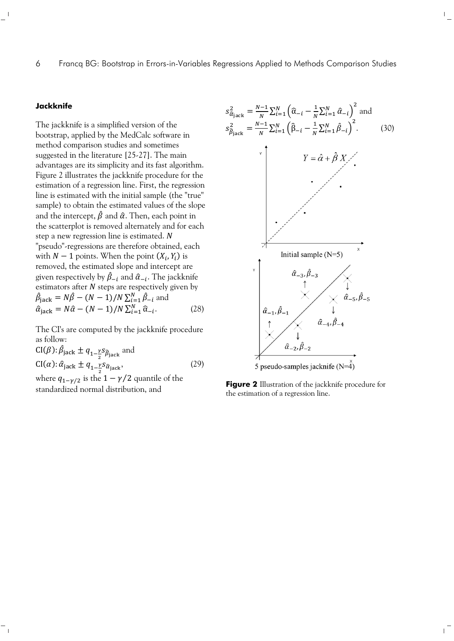## 6 Francq BG: Bootstrap in Errors-in-Variables Regressions Applied to Methods Comparison Studies

## **Jackknife**

The jackknife is a simplified version of the bootstrap, applied by the MedCalc software in method comparison studies and sometimes suggested in the literature [25-27]. The main advantages are its simplicity and its fast algorithm. Figure 2 illustrates the jackknife procedure for the estimation of a regression line. First, the regression line is estimated with the initial sample (the "true" sample) to obtain the estimated values of the slope and the intercept,  $\hat{\beta}$  and  $\hat{\alpha}$ . Then, each point in the scatterplot is removed alternately and for each step a new regression line is estimated. N "pseudo"-regressions are therefore obtained, each with  $N-1$  points. When the point  $(X_i, Y_i)$  is removed, the estimated slope and intercept are given respectively by  $\hat{\beta}_{-i}$  and  $\hat{\alpha}_{-i}.$  The jackknife estimators after  $N$  steps are respectively given by  $\hat{\beta}_{\text{jack}} = N\hat{\beta} - (N-1)/N \sum_{i=1}^{N} \hat{\beta}_{-i}$  and  $\hat{\alpha}_{\text{jack}} = N\hat{\alpha} - (N-1)/N \sum_{i=1}^{N} \hat{\alpha}_{-i}.$  (28)

The CI's are computed by the jackknife procedure as follow:

 $CI(\beta)$ :  $\hat{\beta}_{\text{jack}} \pm q_{1-\frac{\gamma}{2}} s_{\hat{\beta}_{\text{jack}}}$  and  $CI(\alpha): \hat{\alpha}_{\text{jack}} \pm q_{1-\frac{\gamma}{2}} s_{\hat{\alpha}_{\text{jack}}},$  (29)

where  $q_{1-\gamma/2}$  is the  $1-\gamma/2$  quantile of the standardized normal distribution, and

 $\overline{\phantom{0}}$ 



 $\frac{1}{2}$ 

**Figure 2** Illustration of the jackknife procedure for the estimation of a regression line.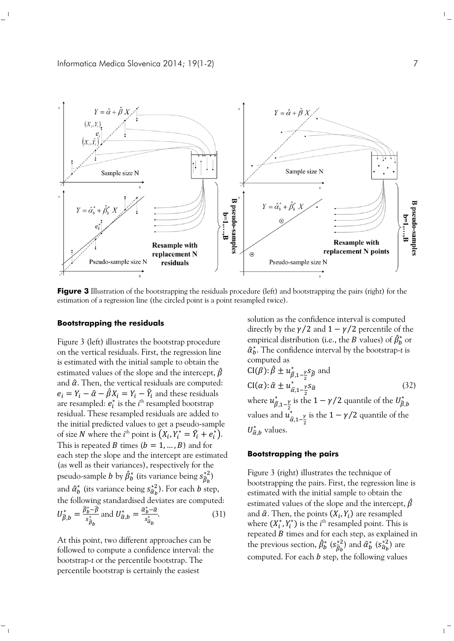

**Figure 3** Illustration of the bootstrapping the residuals procedure (left) and bootstrapping the pairs (right) for the estimation of a regression line (the circled point is a point resampled twice).

#### **Bootstrapping the residuals**

Figure 3 (left) illustrates the bootstrap procedure on the vertical residuals. First, the regression line is estimated with the initial sample to obtain the estimated values of the slope and the intercept,  $\hat{\beta}$ and  $\hat{\alpha}$ . Then, the vertical residuals are computed:  $e_i = Y_i - \hat{\alpha} - \hat{\beta}X_i = Y_i - \hat{Y}_i$  and these residuals are resampled:  $e_i^*$  is the  $i^{\rm th}$  resampled bootstrap residual. These resampled residuals are added to the initial predicted values to get a pseudo-sample of size *N* where the *i*<sup>th</sup> point is  $(X_i, Y_i^* = \hat{Y}_i + e_i^*)$ . This is repeated B times  $(b = 1, ..., B)$  and for each step the slope and the intercept are estimated (as well as their variances), respectively for the pseudo-sample  $b$  by  $\hat{\beta}^*_b$  (its variance being  $s^{*2}_{\hat{\beta}_b}$ ) and  $\hat{a}^*_b$  (its variance being  $s^{*2}_{\hat{a}_b}$ ). For each  $b$  step, the following standardised deviates are computed:  $U_{\widehat{\beta},b}^* = \frac{\widehat{\beta}_b^* - \widehat{\beta}}{s_0^*}$  $s^*_{\widehat{\beta}_b}$  $\frac{a_b-\beta}{a_a}$  and  $U^*_{\widehat{\alpha},b}=\frac{\widehat{\alpha}_b^*-\widehat{\alpha}_b}{s^*}$  $\frac{s_b - u}{s_{a_b}}$  (31)

At this point, two different approaches can be followed to compute a confidence interval: the bootstrap-*t* or the percentile bootstrap. The percentile bootstrap is certainly the easiest

solution as the confidence interval is computed directly by the  $\gamma/2$  and  $1-\gamma/2$  percentile of the empirical distribution (i.e., the  $B$  values) of  $\hat{\beta}^*_b$  or  $\hat{a}_b^*$ . The confidence interval by the bootstrap-*t* is computed as

$$
CI(\beta): \hat{\beta} \pm u_{\hat{\beta},1-\frac{\gamma}{2}}^* s_{\hat{\beta}}
$$
 and  
\n
$$
CI(\alpha): \hat{\alpha} \pm u_{\hat{\alpha},1-\frac{\gamma}{2}}^* s_{\hat{\alpha}}
$$
 (32)  
\nwhere  $u_{\hat{\beta},1-\frac{\gamma}{2}}^*$  is the  $1 - \gamma/2$  quantile of the  $U_{\hat{\beta},b}^*$   
\nvalues and  $u_{\hat{\alpha},1-\frac{\gamma}{2}}^*$  is the  $1 - \gamma/2$  quantile of the  
\n $U_{\hat{\alpha},b}^*$  values.

### **Bootstrapping the pairs**

Figure 3 (right) illustrates the technique of bootstrapping the pairs. First, the regression line is estimated with the initial sample to obtain the estimated values of the slope and the intercept,  $\hat{\beta}$ and  $\hat{\alpha}$ . Then, the points  $(X_i, Y_i)$  are resampled where  $(X_i^*, Y_i^*)$  is the *i*<sup>th</sup> resampled point. This is repeated  $B$  times and for each step, as explained in the previous section,  $\hat{\beta}^*_b$   $(s^{*2}_{\widehat{\beta}_b})$  and  $\hat{\alpha}^*_b$   $(s^{*2}_{\widehat{\alpha}_b})$  are computed. For each  $b$  step, the following values

 $\mathbb{L}$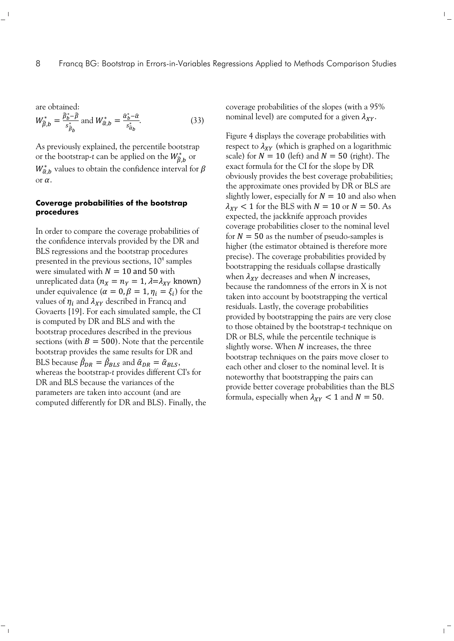are obtained:

 $\mathbb{Z}_1$ 

$$
W_{\hat{\beta},b}^* = \frac{\hat{\beta}_b^* - \hat{\beta}}{s_{\hat{\beta}_b}^*} \text{ and } W_{\hat{\alpha},b}^* = \frac{\hat{\alpha}_b^* - \hat{\alpha}}{s_{\hat{\alpha}_b}^*}. \tag{33}
$$

As previously explained, the percentile bootstrap or the bootstrap-*t* can be applied on the  $W^*_{\hat{\beta},b}$  or  $W^*_{\hat{\alpha},b}$  values to obtain the confidence interval for  $\beta$ or  $\alpha$ .

### **Coverage probabilities of the bootstrap procedures**

In order to compare the coverage probabilities of the confidence intervals provided by the DR and BLS regressions and the bootstrap procedures presented in the previous sections,  $10<sup>4</sup>$  samples were simulated with  $N = 10$  and 50 with unreplicated data ( $n_X = n_Y = 1$ ,  $\lambda = \lambda_{XY}$  known) under equivalence  $(\alpha = 0, \beta = 1, \eta_i = \xi_i)$  for the values of  $\eta_i$  and  $\lambda_{XY}$  described in Francq and Govaerts [19]. For each simulated sample, the CI is computed by DR and BLS and with the bootstrap procedures described in the previous sections (with  $B = 500$ ). Note that the percentile bootstrap provides the same results for DR and BLS because  $\hat{\beta}_{DR} = \hat{\beta}_{BLS}$  and  $\hat{\alpha}_{DR} = \hat{\alpha}_{BLS}$ , whereas the bootstrap-*t* provides different CI's for DR and BLS because the variances of the parameters are taken into account (and are computed differently for DR and BLS). Finally, the coverage probabilities of the slopes (with a 95% nominal level) are computed for a given  $\lambda_{XY}$ .

 $\mathbb{L}$ 

 $\mathbb{R}^{\mathbb{Z}}$ 

Figure 4 displays the coverage probabilities with respect to  $\lambda_{XY}$  (which is graphed on a logarithmic scale) for  $N = 10$  (left) and  $N = 50$  (right). The exact formula for the CI for the slope by DR obviously provides the best coverage probabilities; the approximate ones provided by DR or BLS are slightly lower, especially for  $N = 10$  and also when  $\lambda_{XY}$  < 1 for the BLS with  $N = 10$  or  $N = 50$ . As expected, the jackknife approach provides coverage probabilities closer to the nominal level for  $N = 50$  as the number of pseudo-samples is higher (the estimator obtained is therefore more precise). The coverage probabilities provided by bootstrapping the residuals collapse drastically when  $\lambda_{XY}$  decreases and when N increases, because the randomness of the errors in X is not taken into account by bootstrapping the vertical residuals. Lastly, the coverage probabilities provided by bootstrapping the pairs are very close to those obtained by the bootstrap-*t* technique on DR or BLS, while the percentile technique is slightly worse. When  $N$  increases, the three bootstrap techniques on the pairs move closer to each other and closer to the nominal level. It is noteworthy that bootstrapping the pairs can provide better coverage probabilities than the BLS formula, especially when  $\lambda_{XY} < 1$  and  $N = 50$ .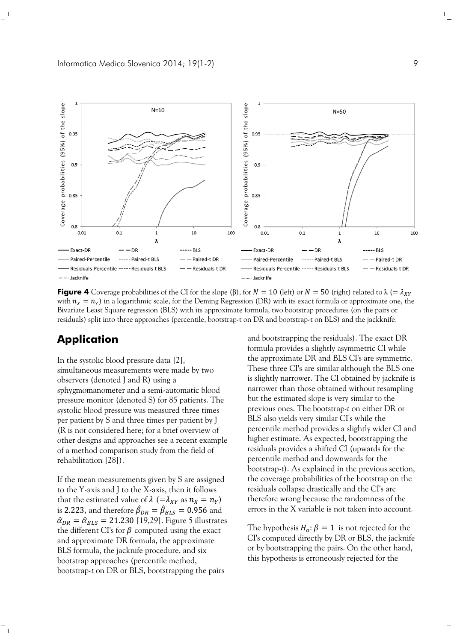

**Figure 4** Coverage probabilities of the CI for the slope ( $\beta$ ), for  $N = 10$  (left) or  $N = 50$  (right) related to  $\lambda$  (=  $\lambda_{XY}$ with  $n_x = n_y$ ) in a logarithmic scale, for the Deming Regression (DR) with its exact formula or approximate one, the Bivariate Least Square regression (BLS) with its approximate formula, two bootstrap procedures (on the pairs or residuals) split into three approaches (percentile, bootstrap-t on DR and bootstrap-t on BLS) and the jackknife.

# **Application**

In the systolic blood pressure data [2], simultaneous measurements were made by two observers (denoted J and R) using a sphygmomanometer and a semi-automatic blood pressure monitor (denoted S) for 85 patients. The systolic blood pressure was measured three times per patient by S and three times per patient by J (R is not considered here; for a brief overview of other designs and approaches see a recent example of a method comparison study from the field of rehabilitation [28]).

If the mean measurements given by S are assigned to the Y-axis and J to the X-axis, then it follows that the estimated value of  $\lambda$  (= $\lambda_{XY}$  as  $n_X = n_Y$ ) is 2.223, and therefore  $\hat{\beta}_{DR}=\hat{\beta}_{BLS}=0.956$  and  $\hat{\alpha}_{DR} = \hat{\alpha}_{BLS} = 21.230$  [19,29]. Figure 5 illustrates the different CI's for  $\beta$  computed using the exact and approximate DR formula, the approximate BLS formula, the jacknife procedure, and six bootstrap approaches (percentile method, bootstrap-*t* on DR or BLS, bootstrapping the pairs

and bootstrapping the residuals). The exact DR formula provides a slightly asymmetric CI while the approximate DR and BLS CI's are symmetric. These three CI's are similar although the BLS one is slightly narrower. The CI obtained by jacknife is narrower than those obtained without resampling but the estimated slope is very similar to the previous ones. The bootstrap-*t* on either DR or BLS also yields very similar CI's while the percentile method provides a slightly wider CI and higher estimate. As expected, bootstrapping the residuals provides a shifted CI (upwards for the percentile method and downwards for the bootstrap-*t*). As explained in the previous section, the coverage probabilities of the bootstrap on the residuals collapse drastically and the CI's are therefore wrong because the randomness of the errors in the X variable is not taken into account.

The hypothesis  $H_o: \beta = 1$  is not rejected for the CI's computed directly by DR or BLS, the jacknife or by bootstrapping the pairs. On the other hand, this hypothesis is erroneously rejected for the

 $\Gamma_{\rm c}$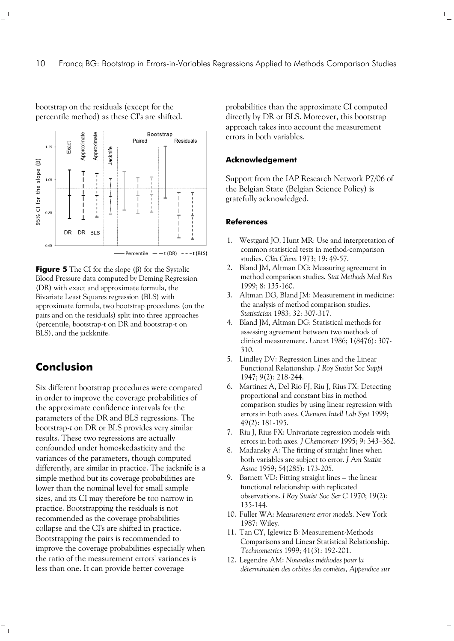

bootstrap on the residuals (except for the percentile method) as these CI's are shifted.

**Figure 5** The CI for the slope (β) for the Systolic Blood Pressure data computed by Deming Regression (DR) with exact and approximate formula, the Bivariate Least Squares regression (BLS) with approximate formula, two bootstrap procedures (on the pairs and on the residuals) split into three approaches (percentile, bootstrap-t on DR and bootstrap-t on BLS), and the jackknife.

# **Conclusion**

 $\overline{\phantom{0}}$ 

Six different bootstrap procedures were compared in order to improve the coverage probabilities of the approximate confidence intervals for the parameters of the DR and BLS regressions. The bootstrap-*t* on DR or BLS provides very similar results. These two regressions are actually confounded under homoskedasticity and the variances of the parameters, though computed differently, are similar in practice. The jacknife is a simple method but its coverage probabilities are lower than the nominal level for small sample sizes, and its CI may therefore be too narrow in practice. Bootstrapping the residuals is not recommended as the coverage probabilities collapse and the CI's are shifted in practice. Bootstrapping the pairs is recommended to improve the coverage probabilities especially when the ratio of the measurement errors' variances is less than one. It can provide better coverage

probabilities than the approximate CI computed directly by DR or BLS. Moreover, this bootstrap approach takes into account the measurement errors in both variables.

 $\mathbb{F}_q$ 

 $\mathbf{L}$ 

### **Acknowledgement**

Support from the IAP Research Network P7/06 of the Belgian State (Belgian Science Policy) is gratefully acknowledged.

#### **References**

- 1. Westgard JO, Hunt MR: Use and interpretation of common statistical tests in method-comparison studies. *Clin Chem* 1973; 19: 49-57.
- 2. Bland JM, Altman DG: Measuring agreement in method comparison studies. *Stat Methods Med Res* 1999; 8: 135-160.
- 3. Altman DG, Bland JM: Measurement in medicine: the analysis of method comparison studies. *Statistician* 1983; 32: 307-317.
- 4. Bland JM, Altman DG: Statistical methods for assessing agreement between two methods of clinical measurement. *Lancet* 1986; 1(8476): 307- 310.
- 5. Lindley DV: Regression Lines and the Linear Functional Relationship. *J Roy Statist Soc Suppl* 1947; 9(2): 218-244.
- 6. Martinez A, Del Rio FJ, Riu J, Rius FX: Detecting proportional and constant bias in method comparison studies by using linear regression with errors in both axes. *Chemom Intell Lab Syst* 1999; 49(2): 181-195.
- 7. Riu J, Rius FX: Univariate regression models with errors in both axes. *J Chemometr* 1995; 9: 343–362.
- 8. Madansky A: The fitting of straight lines when both variables are subject to error. *J Am Statist Assoc* 1959; 54(285): 173-205.
- 9. Barnett VD: Fitting straight lines the linear functional relationship with replicated observations. *J Roy Statist Soc Ser C* 1970; 19(2): 135-144.
- 10. Fuller WA: *Measurement error models*. New York 1987: Wiley.
- 11. Tan CY, Iglewicz B: Measurement-Methods Comparisons and Linear Statistical Relationship. *Technometrics* 1999; 41(3): 192-201.
- 12. Legendre AM: *Nouvelles méthodes pour la détermination des orbites des comètes, Appendice sur*